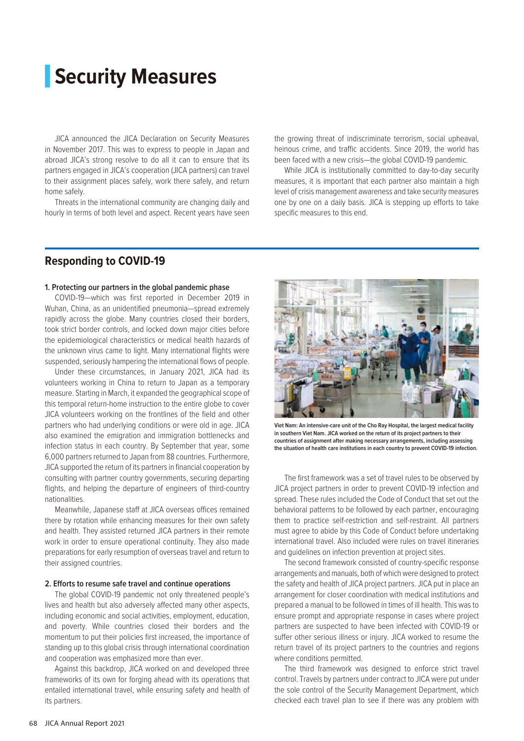# **Security Measures**

JICA announced the JICA Declaration on Security Measures in November 2017. This was to express to people in Japan and abroad JICA's strong resolve to do all it can to ensure that its partners engaged in JICA's cooperation (JICA partners) can travel to their assignment places safely, work there safely, and return home safely.

Threats in the international community are changing daily and hourly in terms of both level and aspect. Recent years have seen the growing threat of indiscriminate terrorism, social upheaval, heinous crime, and traffic accidents. Since 2019, the world has been faced with a new crisis—the global COVID-19 pandemic.

While JICA is institutionally committed to day-to-day security measures, it is important that each partner also maintain a high level of crisis management awareness and take security measures one by one on a daily basis. JICA is stepping up efforts to take specific measures to this end.

## **Responding to COVID-19**

#### **1. Protecting our partners in the global pandemic phase**

COVID-19—which was first reported in December 2019 in Wuhan, China, as an unidentified pneumonia—spread extremely rapidly across the globe. Many countries closed their borders, took strict border controls, and locked down major cities before the epidemiological characteristics or medical health hazards of the unknown virus came to light. Many international flights were suspended, seriously hampering the international flows of people.

Under these circumstances, in January 2021, JICA had its volunteers working in China to return to Japan as a temporary measure. Starting in March, it expanded the geographical scope of this temporal return-home instruction to the entire globe to cover JICA volunteers working on the frontlines of the field and other partners who had underlying conditions or were old in age. JICA also examined the emigration and immigration bottlenecks and infection status in each country. By September that year, some 6,000 partners returned to Japan from 88 countries. Furthermore, JICA supported the return of its partners in financial cooperation by consulting with partner country governments, securing departing flights, and helping the departure of engineers of third-country nationalities.

Meanwhile, Japanese staff at JICA overseas offices remained there by rotation while enhancing measures for their own safety and health. They assisted returned JICA partners in their remote work in order to ensure operational continuity. They also made preparations for early resumption of overseas travel and return to their assigned countries.

#### **2. Efforts to resume safe travel and continue operations**

The global COVID-19 pandemic not only threatened people's lives and health but also adversely affected many other aspects, including economic and social activities, employment, education, and poverty. While countries closed their borders and the momentum to put their policies first increased, the importance of standing up to this global crisis through international coordination and cooperation was emphasized more than ever.

Against this backdrop, JICA worked on and developed three frameworks of its own for forging ahead with its operations that entailed international travel, while ensuring safety and health of its partners.



**Viet Nam: An intensive-care unit of the Cho Ray Hospital, the largest medical facility in southern Viet Nam. JICA worked on the return of its project partners to their countries of assignment after making necessary arrangements, including assessing the situation of health care institutions in each country to prevent COVID-19 infection.**

The first framework was a set of travel rules to be observed by JICA project partners in order to prevent COVID-19 infection and spread. These rules included the Code of Conduct that set out the behavioral patterns to be followed by each partner, encouraging them to practice self-restriction and self-restraint. All partners must agree to abide by this Code of Conduct before undertaking international travel. Also included were rules on travel itineraries and guidelines on infection prevention at project sites.

The second framework consisted of country-specific response arrangements and manuals, both of which were designed to protect the safety and health of JICA project partners. JICA put in place an arrangement for closer coordination with medical institutions and prepared a manual to be followed in times of ill health. This was to ensure prompt and appropriate response in cases where project partners are suspected to have been infected with COVID-19 or suffer other serious illness or injury. JICA worked to resume the return travel of its project partners to the countries and regions where conditions permitted.

The third framework was designed to enforce strict travel control. Travels by partners under contract to JICA were put under the sole control of the Security Management Department, which checked each travel plan to see if there was any problem with